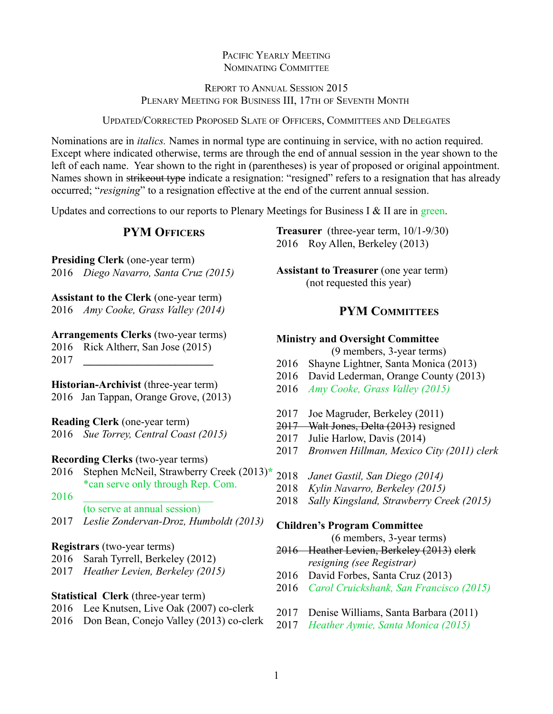## PACIFIC YEARLY MEETING NOMINATING COMMITTEE

## REPORT TO ANNUAL SESSION 2015 PLENARY MEETING FOR BUSINESS III, 17TH OF SEVENTH MONTH

UPDATED/CORRECTED PROPOSED SLATE OF OFFICERS, COMMITTEES AND DELEGATES

Nominations are in *italics.* Names in normal type are continuing in service, with no action required. Except where indicated otherwise, terms are through the end of annual session in the year shown to the left of each name. Year shown to the right in (parentheses) is year of proposed or original appointment. Names shown in strikeout type indicate a resignation: "resigned" refers to a resignation that has already occurred; "*resigning*" to a resignation effective at the end of the current annual session.

Updates and corrections to our reports to Plenary Meetings for Business I & II are in green.

## **PYM OFFICERS**

**Presiding Clerk** (one-year term) 2016 *Diego Navarro, Santa Cruz (2015)*

**Assistant to the Clerk** (one-year term) 2016 *Amy Cooke, Grass Valley (2014)*

### **Arrangements Clerks** (two-year terms)

2016 Rick Altherr, San Jose (2015)

2017 **\_\_\_\_\_\_\_\_\_\_\_\_\_\_\_\_\_\_\_\_\_\_\_\_**

**Historian-Archivist** (three-year term) 2016 Jan Tappan, Orange Grove, (2013)

**Reading Clerk** (one-year term)

2016 *Sue Torrey, Central Coast (2015)*

- **Recording Clerks** (two-year terms)
- 2016 Stephen McNeil, Strawberry Creek (2013)**\*** \*can serve only through Rep. Com.
- 2016 \_\_\_\_\_\_\_\_\_\_\_\_\_\_\_\_\_\_\_\_\_\_\_\_ (to serve at annual session)
- 2017 *Leslie Zondervan-Droz, Humboldt (2013)*

### **Registrars** (two-year terms)

- 2016 Sarah Tyrrell, Berkeley (2012)
- 2017 *Heather Levien, Berkeley (2015)*

### **Statistical Clerk** (three-year term)

- 2016 Lee Knutsen, Live Oak (2007) co-clerk
- 2016 Don Bean, Conejo Valley (2013) co-clerk

**Treasurer** (three-year term, 10/1-9/30) 2016 Roy Allen, Berkeley (2013)

**Assistant to Treasurer** (one year term) (not requested this year)

## **PYM COMMITTEES**

### **Ministry and Oversight Committee**

- (9 members, 3-year terms)
- 2016 Shayne Lightner, Santa Monica (2013)
- 2016 David Lederman, Orange County (2013)
- 2016 *Amy Cooke, Grass Valley (2015)*
- 2017 Joe Magruder, Berkeley (2011)
- 2017 Walt Jones, Delta (2013) resigned
- 2017 Julie Harlow, Davis (2014)
- 2017 *Bronwen Hillman, Mexico City (2011) clerk*
- 2018 *Janet Gastil, San Diego (2014)*
- 2018 *Kylin Navarro, Berkeley (2015)*
- 2018 *Sally Kingsland, Strawberry Creek (2015)*

#### **Children's Program Committee**

(6 members, 3-year terms)

- 2016 Heather Levien, Berkeley (2013) clerk *resigning (see Registrar)*
- 2016 David Forbes, Santa Cruz (2013)
- 2016 *Carol Cruickshank, San Francisco (2015)*
- 2017 Denise Williams, Santa Barbara (2011)
- 2017 *Heather Aymie, Santa Monica (2015)*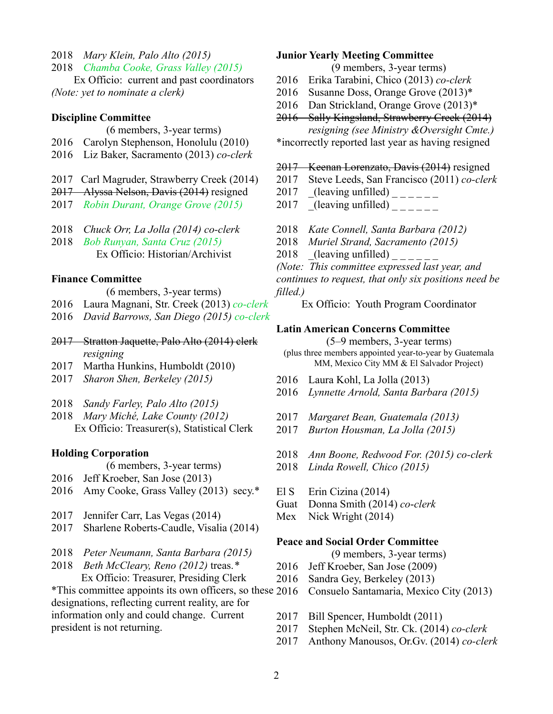- 2018 *Mary Klein, Palo Alto (2015)*
- 2018 *Chamba Cooke, Grass Valley (2015)*

Ex Officio: current and past coordinators *(Note: yet to nominate a clerk)*

#### **Discipline Committee**

- (6 members, 3-year terms)
- 2016 Carolyn Stephenson, Honolulu (2010)
- 2016 Liz Baker, Sacramento (2013) *co-clerk*
- 2017 Carl Magruder, Strawberry Creek (2014)
- 2017 Alyssa Nelson, Davis (2014) resigned
- 2017 *Robin Durant, Orange Grove (2015)*
- 2018 *Chuck Orr, La Jolla (2014) co-clerk*
- 2018 *Bob Runyan, Santa Cruz (2015)* Ex Officio: Historian/Archivist

### **Finance Committee**

- (6 members, 3-year terms)
- 2016 Laura Magnani, Str. Creek (2013) *co-clerk*
- 2016 *David Barrows, San Diego (2015) co-clerk*
- 2017 Stratton Jaquette, Palo Alto (2014) clerk *resigning*
- 2017 Martha Hunkins, Humboldt (2010)
- 2017 *Sharon Shen, Berkeley (2015)*
- 2018 *Sandy Farley, Palo Alto (2015)*
- 2018 *Mary Miché, Lake County (2012)* Ex Officio: Treasurer(s), Statistical Clerk

### **Holding Corporation**

- (6 members, 3-year terms)
- 2016 Jeff Kroeber, San Jose (2013)
- 2016 Amy Cooke, Grass Valley (2013) secy.\*
- 2017 Jennifer Carr, Las Vegas (2014)
- 2017 Sharlene Roberts-Caudle, Visalia (2014)
- 2018 *Peter Neumann, Santa Barbara (2015)*
- 2018 *Beth McCleary, Reno (2012)* treas.*\** Ex Officio: Treasurer, Presiding Clerk

\*This committee appoints its own officers, so these designations, reflecting current reality, are for information only and could change. Current president is not returning.

### **Junior Yearly Meeting Committee**

(9 members, 3-year terms)

- 2016 Erika Tarabini, Chico (2013) *co-clerk*
- 2016 Susanne Doss, Orange Grove (2013)\*
- 2016 Dan Strickland, Orange Grove (2013)\*
- 2016 Sally Kingsland, Strawberry Creek (2014) *resigning (see Ministry &Oversight Cmte.)*

\*incorrectly reported last year as having resigned

#### 2017 Keenan Lorenzato, Davis (2014) resigned

- 2017 Steve Leeds, San Francisco (2011) *co-clerk*
- 2017  $($ leaving unfilled)  $---$
- 2017  $\left[$ (leaving unfilled)  $\left[$
- 2018 *Kate Connell, Santa Barbara (2012)*
- 2018 *Muriel Strand, Sacramento (2015)*
- 2018 (leaving unfilled)  $\frac{1}{2}$

*(Note: This committee expressed last year, and continues to request, that only six positions need be filled.)*

Ex Officio: Youth Program Coordinator

### **Latin American Concerns Committee**

- (5–9 members, 3-year terms) (plus three members appointed year-to-year by Guatemala MM, Mexico City MM & El Salvador Project)
- 2016 Laura Kohl, La Jolla (2013)
- 2016 *Lynnette Arnold, Santa Barbara (2015)*
- 2017 *Margaret Bean, Guatemala (2013)*
- 2017 *Burton Housman, La Jolla (2015)*
- 2018 *Ann Boone, Redwood For. (2015) co-clerk*
- 2018 *Linda Rowell, Chico (2015)*
- El S Erin Cizina (2014)
- Guat Donna Smith (2014) *co*-*clerk*
- Mex Nick Wright (2014)

### **Peace and Social Order Committee**

(9 members, 3-year terms)

- 2016 Jeff Kroeber, San Jose (2009)
- 2016 Sandra Gey, Berkeley (2013)
- 2016 Consuelo Santamaria, Mexico City (2013)
- 2017 Bill Spencer, Humboldt (2011)
- 2017 Stephen McNeil, Str. Ck. (2014) *co-clerk*
- 2017 Anthony Manousos, Or.Gv. (2014) *co-clerk*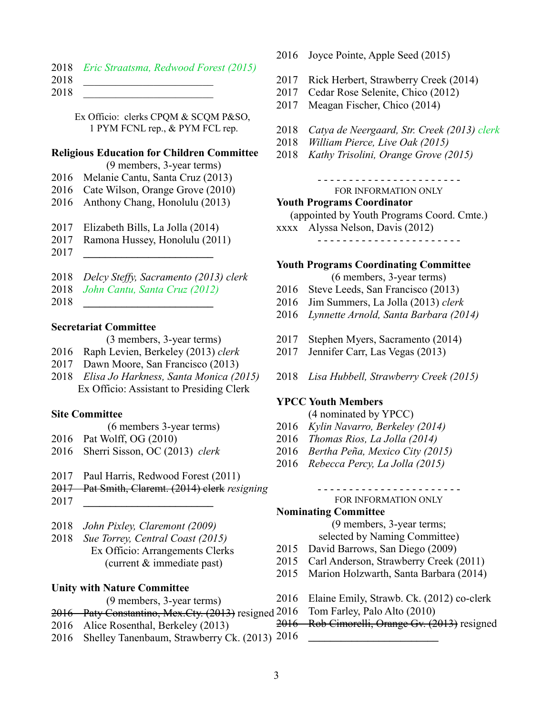|      | 2018 Eric Straatsma, Redwood Forest (2015) |  |
|------|--------------------------------------------|--|
| 2018 |                                            |  |

2018 \_\_\_\_\_\_\_\_\_\_\_\_\_\_\_\_\_\_\_\_\_\_\_\_

Ex Officio: clerks CPQM & SCQM P&SO, 1 PYM FCNL rep., & PYM FCL rep.

### **Religious Education for Children Committee**

(9 members, 3-year terms)

- 2016 Melanie Cantu, Santa Cruz (2013)
- 2016 Cate Wilson, Orange Grove (2010)
- 2016 Anthony Chang, Honolulu (2013)
- 2017 Elizabeth Bills, La Jolla (2014)
- 2017 Ramona Hussey, Honolulu (2011)
- 2017 **\_\_\_\_\_\_\_\_\_\_\_\_\_\_\_\_\_\_\_\_\_\_\_\_**
- 2018 *Delcy Steffy, Sacramento (2013) clerk*
- 2018 *John Cantu, Santa Cruz (2012)*
- 2018 **\_\_\_\_\_\_\_\_\_\_\_\_\_\_\_\_\_\_\_\_\_\_\_\_**

## **Secretariat Committee**

(3 members, 3-year terms)

- 2016 Raph Levien, Berkeley (2013) *clerk*
- 2017 Dawn Moore, San Francisco (2013)
- 2018 *Elisa Jo Harkness, Santa Monica (2015)* Ex Officio: Assistant to Presiding Clerk

### **Site Committee**

- (6 members 3-year terms)
- 2016 Pat Wolff, OG (2010)
- 2016 Sherri Sisson, OC (2013) *clerk*
- 2017 Paul Harris, Redwood Forest (2011)
- 2017 Pat Smith, Claremt. (2014) clerk *resigning*
- 2017 **\_\_\_\_\_\_\_\_\_\_\_\_\_\_\_\_\_\_\_\_\_\_\_\_**
- 2018 *John Pixley, Claremont (2009)*
- 2018 *Sue Torrey, Central Coast (2015)* Ex Officio: Arrangements Clerks (current & immediate past)

### **Unity with Nature Committee**

- (9 members, 3-year terms)
- 2016 Paty Constantino, Mex.Cty. (2013) resigned 2016
- 2016 Alice Rosenthal, Berkeley (2013)
- 2016 Shelley Tanenbaum, Strawberry Ck. (2013) 2016 **\_\_\_\_\_\_\_\_\_\_\_\_\_\_\_\_\_\_\_\_\_\_\_\_**
- 2016 Joyce Pointe, Apple Seed (2015)
- 2017 Rick Herbert, Strawberry Creek (2014)
- 2017 Cedar Rose Selenite, Chico (2012)
- 2017 Meagan Fischer, Chico (2014)
- 2018 *Catya de Neergaard, Str. Creek (2013) clerk*
- 2018 *William Pierce, Live Oak (2015)*
- 2018 *Kathy Trisolini, Orange Grove (2015)*

- - - - - - - - - - - - - - - - - - - - - - - FOR INFORMATION ONLY

# **Youth Programs Coordinator**

(appointed by Youth Programs Coord. Cmte.)

xxxx Alyssa Nelson, Davis (2012)

- - - - - - - - - - - - - - - - - - - - - - -

### **Youth Programs Coordinating Committee**

(6 members, 3-year terms)

- 2016 Steve Leeds, San Francisco (2013)
- 2016 Jim Summers, La Jolla (2013) *clerk*
- 2016 *Lynnette Arnold, Santa Barbara (2014)*
- 2017 Stephen Myers, Sacramento (2014)
- 2017 Jennifer Carr, Las Vegas (2013)
- 2018 *Lisa Hubbell, Strawberry Creek (2015)*

### **YPCC Youth Members**

- (4 nominated by YPCC)
- 2016 *Kylin Navarro, Berkeley (2014)*
- 2016 *Thomas Rios, La Jolla (2014)*
- 2016 *Bertha Peña, Mexico City (2015)*
- 2016 *Rebecca Percy, La Jolla (2015)*

- - - - - - - - - - - - - - - - - - - - - - - FOR INFORMATION ONLY

## **Nominating Committee**

(9 members, 3-year terms;

- selected by Naming Committee)
- 2015 David Barrows, San Diego (2009)
- 2015 Carl Anderson, Strawberry Creek (2011)
- 2015 Marion Holzwarth, Santa Barbara (2014)
- 2016 Elaine Emily, Strawb. Ck. (2012) co-clerk
	- Tom Farley, Palo Alto (2010)
- 2016 Rob Cimorelli, Orange Gv. (2013) resigned
- 
- 
-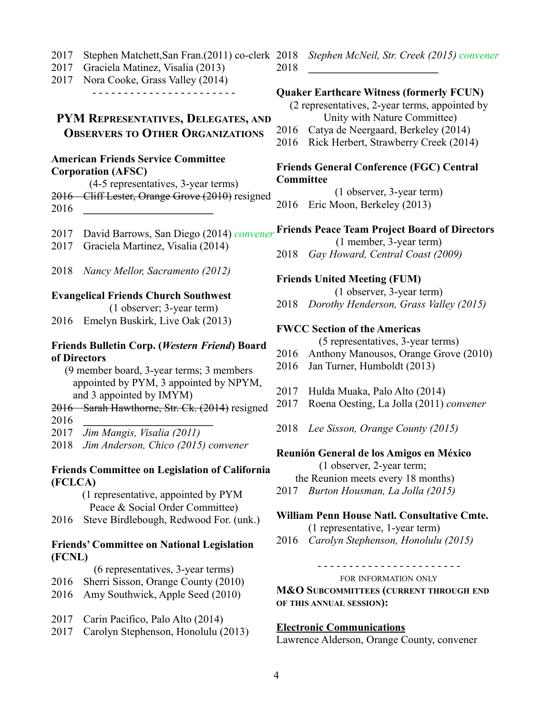- 2017 Stephen Matchett,San Fran.(2011) co-clerk
- 2017 Graciela Matinez, Visalia (2013)
- 2017 Nora Cooke, Grass Valley (2014) - - - - - - - - - - - - - - - - - - - - - - -

## **PYM REPRESENTATIVES, DELEGATES, AND OBSERVERS TO OTHER ORGANIZATIONS**

## **American Friends Service Committee Corporation (AFSC)**

(4-5 representatives, 3-year terms) 2016 Cliff Lester, Orange Grove (2010) resigned 2016 **\_\_\_\_\_\_\_\_\_\_\_\_\_\_\_\_\_\_\_\_\_\_\_\_**

- 2017 David Barrows, San Diego (2014) *convener*
- 2017 Graciela Martinez, Visalia (2014)
- 2018 *Nancy Mellor, Sacramento (2012)*

## **Evangelical Friends Church Southwest**

(1 observer; 3-year term) 2016 Emelyn Buskirk, Live Oak (2013)

## **Friends Bulletin Corp. (***Western Friend***) Board of Directors**

- (9 member board, 3-year terms; 3 members appointed by PYM, 3 appointed by NPYM, and 3 appointed by IMYM)
- 2016 Sarah Hawthorne, Str. Ck. (2014) resigned 2016 **\_\_\_\_\_\_\_\_\_\_\_\_\_\_\_\_\_\_\_\_\_\_\_\_**
- 2017 *Jim Mangis, Visalia (2011)*
- 2018 *Jim Anderson, Chico (2015) convener*

## **Friends Committee on Legislation of California (FCLCA)**

(1 representative, appointed by PYM Peace & Social Order Committee)

2016 Steve Birdlebough, Redwood For. (unk.)

## **Friends' Committee on National Legislation (FCNL)**

(6 representatives, 3-year terms)

- 2016 Sherri Sisson, Orange County (2010)
- 2016 Amy Southwick, Apple Seed (2010)
- 2017 Carin Pacifico, Palo Alto (2014)
- 2017 Carolyn Stephenson, Honolulu (2013)

2018 *Stephen McNeil, Str. Creek (2015) convener* 2018 **\_\_\_\_\_\_\_\_\_\_\_\_\_\_\_\_\_\_\_\_\_\_\_\_**

## **Quaker Earthcare Witness (formerly FCUN)**

(2 representatives, 2-year terms, appointed by Unity with Nature Committee)

- 2016 Catya de Neergaard, Berkeley (2014)
- 2016 Rick Herbert, Strawberry Creek (2014)

### **Friends General Conference (FGC) Central Committee**

(1 observer, 3-year term) 2016 Eric Moon, Berkeley (2013)

## **Friends Peace Team Project Board of Directors**

(1 member, 3-year term)

2018 *Gay Howard, Central Coast (2009)*

## **Friends United Meeting (FUM)**

(1 observer, 3-year term)

2018 *Dorothy Henderson, Grass Valley (2015)*

## **FWCC Section of the Americas**

(5 representatives, 3-year terms)

- 2016 Anthony Manousos, Orange Grove (2010)
- 2016 Jan Turner, Humboldt (2013)
- 2017 Hulda Muaka, Palo Alto (2014)
- 2017 Roena Oesting, La Jolla (2011) *convener*
- 2018 *Lee Sisson, Orange County (2015)*

## **Reunión General de los Amigos en México**

(1 observer, 2-year term; the Reunion meets every 18 months) 2017 *Burton Housman, La Jolla (2015)*

## **William Penn House Natl. Consultative Cmte.**

(1 representative, 1-year term)

2016 *Carolyn Stephenson, Honolulu (2015)*

- - - - - - - - - - - - - - - - - - - - - - -

FOR INFORMATION ONLY

**M&O SUBCOMMITTEES (CURRENT THROUGH END OF THIS ANNUAL SESSION):**

## **Electronic Communications**

Lawrence Alderson, Orange County, convener